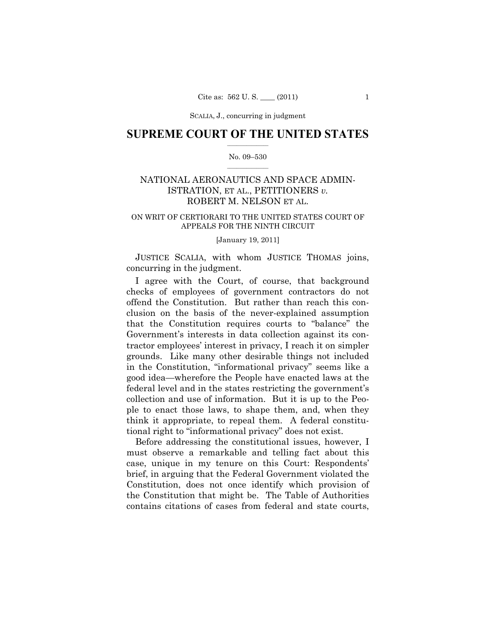## **SUPREME COURT OF THE UNITED STATES**  $\frac{1}{2}$  ,  $\frac{1}{2}$  ,  $\frac{1}{2}$  ,  $\frac{1}{2}$  ,  $\frac{1}{2}$  ,  $\frac{1}{2}$  ,  $\frac{1}{2}$

### No. 09–530  $\frac{1}{2}$  ,  $\frac{1}{2}$  ,  $\frac{1}{2}$  ,  $\frac{1}{2}$  ,  $\frac{1}{2}$  ,  $\frac{1}{2}$

# NATIONAL AERONAUTICS AND SPACE ADMIN-ISTRATION, ET AL., PETITIONERS *v.*  ROBERT M. NELSON ET AL.

## ON WRIT OF CERTIORARI TO THE UNITED STATES COURT OF APPEALS FOR THE NINTH CIRCUIT

## [January 19, 2011]

 JUSTICE SCALIA, with whom JUSTICE THOMAS joins, concurring in the judgment.

 I agree with the Court, of course, that background checks of employees of government contractors do not offend the Constitution. But rather than reach this conclusion on the basis of the never-explained assumption that the Constitution requires courts to "balance" the Government's interests in data collection against its contractor employees' interest in privacy, I reach it on simpler grounds. Like many other desirable things not included in the Constitution, "informational privacy" seems like a good idea—wherefore the People have enacted laws at the federal level and in the states restricting the government's collection and use of information. But it is up to the People to enact those laws, to shape them, and, when they think it appropriate, to repeal them. A federal constitutional right to "informational privacy" does not exist.

 Before addressing the constitutional issues, however, I must observe a remarkable and telling fact about this case, unique in my tenure on this Court: Respondents' brief, in arguing that the Federal Government violated the Constitution, does not once identify which provision of the Constitution that might be. The Table of Authorities contains citations of cases from federal and state courts,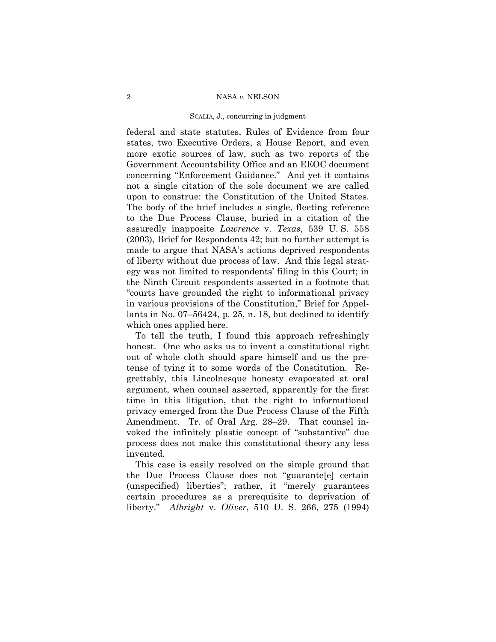federal and state statutes, Rules of Evidence from four states, two Executive Orders, a House Report, and even more exotic sources of law, such as two reports of the Government Accountability Office and an EEOC document concerning "Enforcement Guidance." And yet it contains not a single citation of the sole document we are called upon to construe: the Constitution of the United States. The body of the brief includes a single, fleeting reference to the Due Process Clause, buried in a citation of the assuredly inapposite *Lawrence* v. *Texas*, 539 U. S. 558 (2003), Brief for Respondents 42; but no further attempt is made to argue that NASA's actions deprived respondents of liberty without due process of law. And this legal strategy was not limited to respondents' filing in this Court; in the Ninth Circuit respondents asserted in a footnote that "courts have grounded the right to informational privacy in various provisions of the Constitution," Brief for Appellants in No. 07–56424, p. 25, n. 18, but declined to identify which ones applied here.

 To tell the truth, I found this approach refreshingly honest. One who asks us to invent a constitutional right out of whole cloth should spare himself and us the pretense of tying it to some words of the Constitution. Regrettably, this Lincolnesque honesty evaporated at oral argument, when counsel asserted, apparently for the first time in this litigation, that the right to informational privacy emerged from the Due Process Clause of the Fifth Amendment. Tr. of Oral Arg. 28–29. That counsel invoked the infinitely plastic concept of "substantive" due process does not make this constitutional theory any less invented.

 This case is easily resolved on the simple ground that the Due Process Clause does not "guarante[e] certain (unspecified) liberties"; rather, it "merely guarantees certain procedures as a prerequisite to deprivation of liberty." *Albright* v. *Oliver*, 510 U. S. 266, 275 (1994)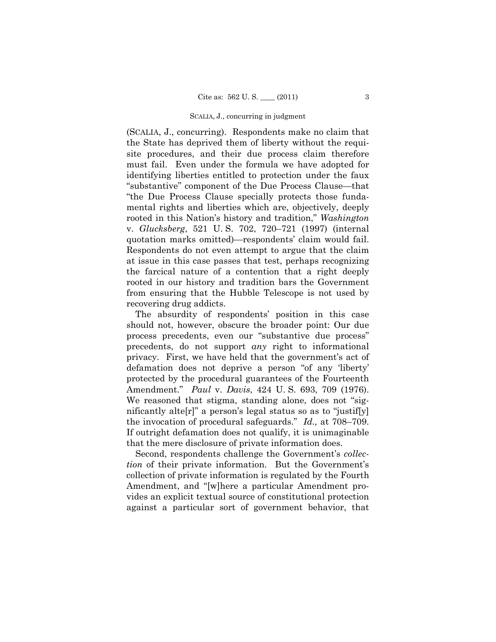(SCALIA, J., concurring). Respondents make no claim that the State has deprived them of liberty without the requisite procedures, and their due process claim therefore must fail. Even under the formula we have adopted for identifying liberties entitled to protection under the faux "substantive" component of the Due Process Clause—that "the Due Process Clause specially protects those fundamental rights and liberties which are, objectively, deeply rooted in this Nation's history and tradition," *Washington* v. *Glucksberg*, 521 U. S. 702, 720–721 (1997) (internal quotation marks omitted)—respondents' claim would fail. Respondents do not even attempt to argue that the claim at issue in this case passes that test, perhaps recognizing the farcical nature of a contention that a right deeply rooted in our history and tradition bars the Government from ensuring that the Hubble Telescope is not used by recovering drug addicts.

 The absurdity of respondents' position in this case should not, however, obscure the broader point: Our due process precedents, even our "substantive due process" precedents, do not support *any* right to informational privacy. First, we have held that the government's act of defamation does not deprive a person "of any 'liberty' protected by the procedural guarantees of the Fourteenth Amendment." *Paul* v. *Davis*, 424 U. S. 693, 709 (1976). We reasoned that stigma, standing alone, does not "significantly alte[r]" a person's legal status so as to "justif[y] the invocation of procedural safeguards." *Id.,* at 708–709. If outright defamation does not qualify, it is unimaginable that the mere disclosure of private information does.

 Second, respondents challenge the Government's *collection* of their private information. But the Government's collection of private information is regulated by the Fourth Amendment, and "[w]here a particular Amendment provides an explicit textual source of constitutional protection against a particular sort of government behavior, that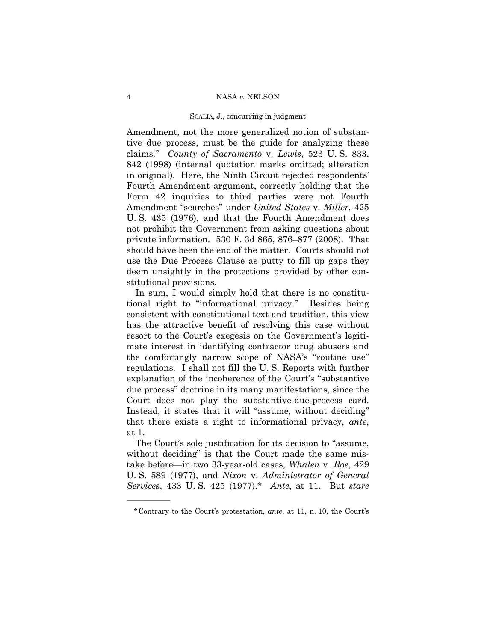Amendment, not the more generalized notion of substantive due process, must be the guide for analyzing these claims." *County of Sacramento* v. *Lewis*, 523 U. S. 833, 842 (1998) (internal quotation marks omitted; alteration in original). Here, the Ninth Circuit rejected respondents' Fourth Amendment argument, correctly holding that the Form 42 inquiries to third parties were not Fourth Amendment "searches" under *United States* v. *Miller*, 425 U. S. 435 (1976), and that the Fourth Amendment does not prohibit the Government from asking questions about private information. 530 F. 3d 865, 876–877 (2008). That should have been the end of the matter. Courts should not use the Due Process Clause as putty to fill up gaps they deem unsightly in the protections provided by other constitutional provisions.

 In sum, I would simply hold that there is no constitutional right to "informational privacy." Besides being consistent with constitutional text and tradition, this view has the attractive benefit of resolving this case without resort to the Court's exegesis on the Government's legitimate interest in identifying contractor drug abusers and the comfortingly narrow scope of NASA's "routine use" regulations. I shall not fill the U. S. Reports with further explanation of the incoherence of the Court's "substantive due process" doctrine in its many manifestations, since the Court does not play the substantive-due-process card. Instead, it states that it will "assume, without deciding" that there exists a right to informational privacy, *ante*, at 1.

 The Court's sole justification for its decision to "assume, without deciding" is that the Court made the same mistake before—in two 33-year-old cases, *Whalen* v. *Roe*, 429 U. S. 589 (1977), and *Nixon* v. *Administrator of General Services*, 433 U. S. 425 (1977).\* *Ante*, at 11. But *stare* 

——————

<sup>\*</sup>Contrary to the Court's protestation, *ante*, at 11, n. 10, the Court's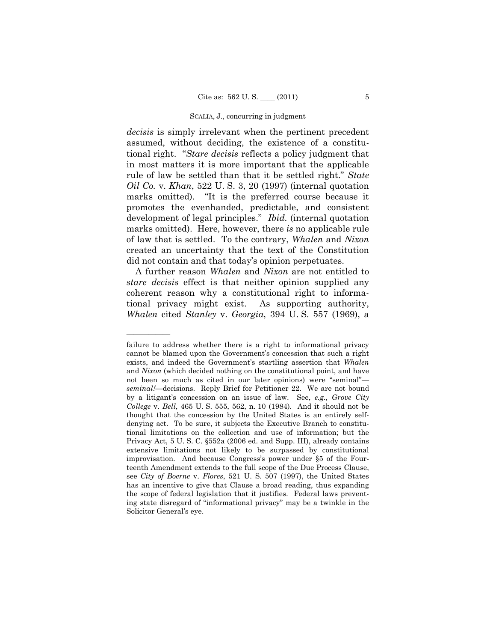*decisis* is simply irrelevant when the pertinent precedent assumed, without deciding, the existence of a constitutional right. "*Stare decisis* reflects a policy judgment that in most matters it is more important that the applicable rule of law be settled than that it be settled right." *State Oil Co.* v. *Khan*, 522 U. S. 3, 20 (1997) (internal quotation marks omitted). "It is the preferred course because it promotes the evenhanded, predictable, and consistent development of legal principles." *Ibid.* (internal quotation marks omitted). Here, however, there *is* no applicable rule of law that is settled. To the contrary, *Whalen* and *Nixon* created an uncertainty that the text of the Constitution did not contain and that today's opinion perpetuates.

 A further reason *Whalen* and *Nixon* are not entitled to *stare decisis* effect is that neither opinion supplied any coherent reason why a constitutional right to informational privacy might exist. As supporting authority, *Whalen* cited *Stanley* v. *Georgia*, 394 U. S. 557 (1969), a

——————

failure to address whether there is a right to informational privacy cannot be blamed upon the Government's concession that such a right exists, and indeed the Government's startling assertion that *Whalen* and *Nixon* (which decided nothing on the constitutional point, and have not been so much as cited in our later opinions) were "seminal" *seminal!*—decisions. Reply Brief for Petitioner 22. We are not bound by a litigant's concession on an issue of law. See, *e.g., Grove City College* v. *Bell*, 465 U. S. 555, 562, n. 10 (1984). And it should not be thought that the concession by the United States is an entirely selfdenying act. To be sure, it subjects the Executive Branch to constitutional limitations on the collection and use of information; but the Privacy Act, 5 U. S. C. §552a (2006 ed. and Supp. III), already contains extensive limitations not likely to be surpassed by constitutional improvisation. And because Congress's power under §5 of the Fourteenth Amendment extends to the full scope of the Due Process Clause, see *City of Boerne* v. *Flores*, 521 U. S. 507 (1997), the United States has an incentive to give that Clause a broad reading, thus expanding the scope of federal legislation that it justifies. Federal laws preventing state disregard of "informational privacy" may be a twinkle in the Solicitor General's eye.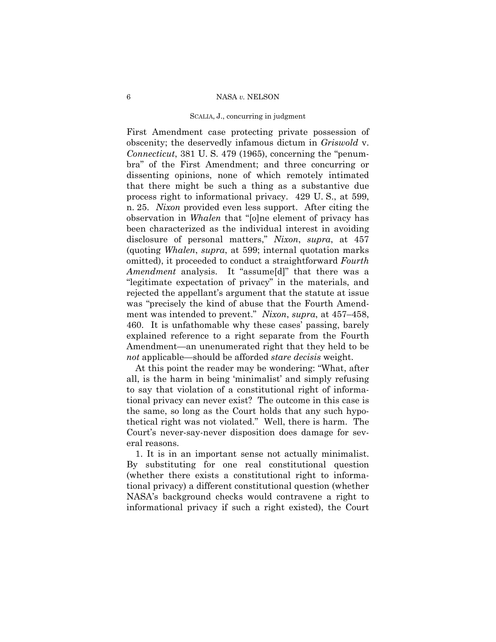#### 6 NASA *v.* NELSON

#### SCALIA, J., concurring in judgment

First Amendment case protecting private possession of obscenity; the deservedly infamous dictum in *Griswold* v. *Connecticut*, 381 U. S. 479 (1965), concerning the "penumbra" of the First Amendment; and three concurring or dissenting opinions, none of which remotely intimated that there might be such a thing as a substantive due process right to informational privacy. 429 U. S., at 599, n. 25. *Nixon* provided even less support. After citing the observation in *Whalen* that "[o]ne element of privacy has been characterized as the individual interest in avoiding disclosure of personal matters," *Nixon*, *supra*, at 457 (quoting *Whalen*, *supra*, at 599; internal quotation marks omitted), it proceeded to conduct a straightforward *Fourth Amendment* analysis. It "assume[d]" that there was a "legitimate expectation of privacy" in the materials, and rejected the appellant's argument that the statute at issue was "precisely the kind of abuse that the Fourth Amendment was intended to prevent." *Nixon*, *supra*, at 457–458, 460. It is unfathomable why these cases' passing, barely explained reference to a right separate from the Fourth Amendment—an unenumerated right that they held to be *not* applicable—should be afforded *stare decisis* weight.

 At this point the reader may be wondering: "What, after all, is the harm in being 'minimalist' and simply refusing to say that violation of a constitutional right of informational privacy can never exist? The outcome in this case is the same, so long as the Court holds that any such hypothetical right was not violated." Well, there is harm. The Court's never-say-never disposition does damage for several reasons.

 1. It is in an important sense not actually minimalist. By substituting for one real constitutional question (whether there exists a constitutional right to informational privacy) a different constitutional question (whether NASA's background checks would contravene a right to informational privacy if such a right existed), the Court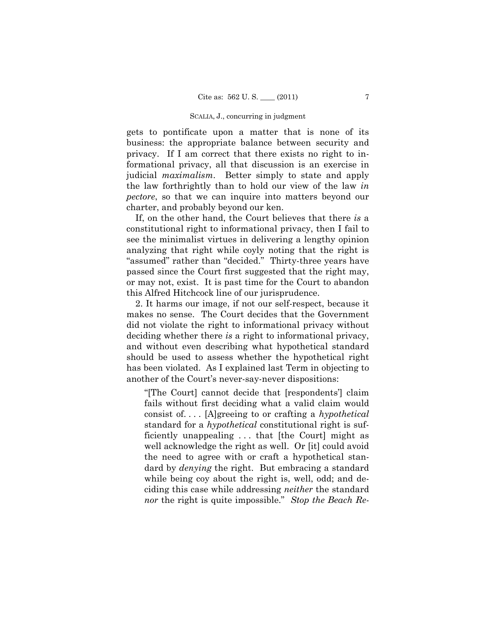gets to pontificate upon a matter that is none of its business: the appropriate balance between security and privacy. If I am correct that there exists no right to informational privacy, all that discussion is an exercise in judicial *maximalism*. Better simply to state and apply the law forthrightly than to hold our view of the law *in pectore*, so that we can inquire into matters beyond our charter, and probably beyond our ken.

 If, on the other hand, the Court believes that there *is* a constitutional right to informational privacy, then I fail to see the minimalist virtues in delivering a lengthy opinion analyzing that right while coyly noting that the right is "assumed" rather than "decided." Thirty-three years have passed since the Court first suggested that the right may, or may not, exist. It is past time for the Court to abandon this Alfred Hitchcock line of our jurisprudence.

 2. It harms our image, if not our self-respect, because it makes no sense. The Court decides that the Government did not violate the right to informational privacy without deciding whether there *is* a right to informational privacy, and without even describing what hypothetical standard should be used to assess whether the hypothetical right has been violated. As I explained last Term in objecting to another of the Court's never-say-never dispositions:

"[The Court] cannot decide that [respondents'] claim fails without first deciding what a valid claim would consist of. . . . [A]greeing to or crafting a *hypothetical* standard for a *hypothetical* constitutional right is sufficiently unappealing . . . that [the Court] might as well acknowledge the right as well. Or [it] could avoid the need to agree with or craft a hypothetical standard by *denying* the right. But embracing a standard while being coy about the right is, well, odd; and deciding this case while addressing *neither* the standard *nor* the right is quite impossible." *Stop the Beach Re-*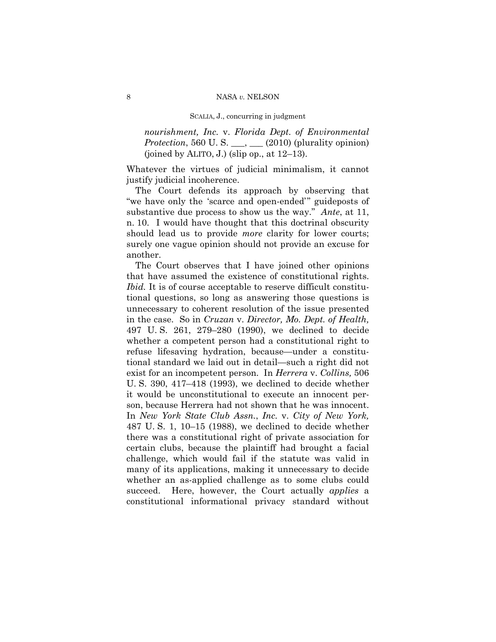*nourishment, Inc.* v. *Florida Dept. of Environmental Protection*, 560 U. S. \_\_\_, \_\_\_ (2010) (plurality opinion) (joined by ALITO, J.) (slip op., at  $12-13$ ).

Whatever the virtues of judicial minimalism, it cannot justify judicial incoherence.

 The Court defends its approach by observing that "we have only the 'scarce and open-ended'" guideposts of substantive due process to show us the way." *Ante*, at 11, n. 10. I would have thought that this doctrinal obscurity should lead us to provide *more* clarity for lower courts; surely one vague opinion should not provide an excuse for another.

 The Court observes that I have joined other opinions that have assumed the existence of constitutional rights. *Ibid.* It is of course acceptable to reserve difficult constitutional questions, so long as answering those questions is unnecessary to coherent resolution of the issue presented in the case. So in *Cruzan* v. *Director, Mo. Dept. of Health,* 497 U. S. 261, 279–280 (1990), we declined to decide whether a competent person had a constitutional right to refuse lifesaving hydration, because—under a constitutional standard we laid out in detail—such a right did not exist for an incompetent person. In *Herrera* v. *Collins,* 506 U. S. 390, 417–418 (1993), we declined to decide whether it would be unconstitutional to execute an innocent person, because Herrera had not shown that he was innocent. In *New York State Club Assn.*, *Inc.* v. *City of New York,* 487 U. S. 1, 10–15 (1988), we declined to decide whether there was a constitutional right of private association for certain clubs, because the plaintiff had brought a facial challenge, which would fail if the statute was valid in many of its applications, making it unnecessary to decide whether an as-applied challenge as to some clubs could succeed. Here, however, the Court actually *applies* a constitutional informational privacy standard without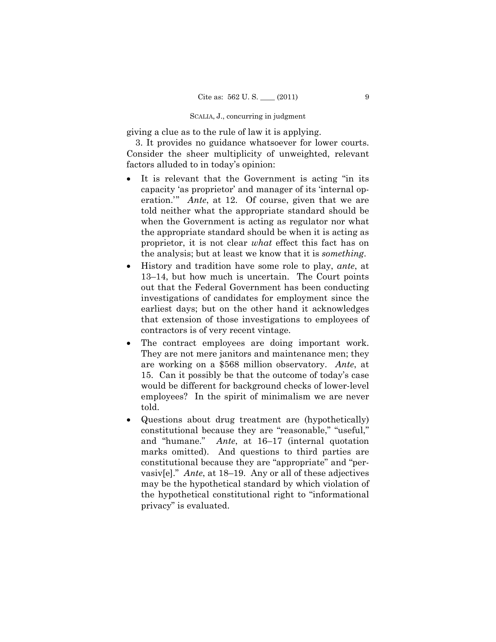giving a clue as to the rule of law it is applying.

 3. It provides no guidance whatsoever for lower courts. Consider the sheer multiplicity of unweighted, relevant factors alluded to in today's opinion:

- It is relevant that the Government is acting "in its capacity 'as proprietor' and manager of its 'internal operation.'" *Ante*, at 12. Of course, given that we are told neither what the appropriate standard should be when the Government is acting as regulator nor what the appropriate standard should be when it is acting as proprietor, it is not clear *what* effect this fact has on the analysis; but at least we know that it is *something*.
- History and tradition have some role to play, *ante*, at 13–14, but how much is uncertain. The Court points out that the Federal Government has been conducting investigations of candidates for employment since the earliest days; but on the other hand it acknowledges that extension of those investigations to employees of contractors is of very recent vintage.
- The contract employees are doing important work. They are not mere janitors and maintenance men; they are working on a \$568 million observatory. *Ante*, at 15. Can it possibly be that the outcome of today's case would be different for background checks of lower-level employees? In the spirit of minimalism we are never told.
- Questions about drug treatment are (hypothetically) constitutional because they are "reasonable," "useful," and "humane." *Ante*, at 16–17 (internal quotation marks omitted). And questions to third parties are constitutional because they are "appropriate" and "pervasiv[e]." *Ante*, at 18–19. Any or all of these adjectives may be the hypothetical standard by which violation of the hypothetical constitutional right to "informational privacy" is evaluated.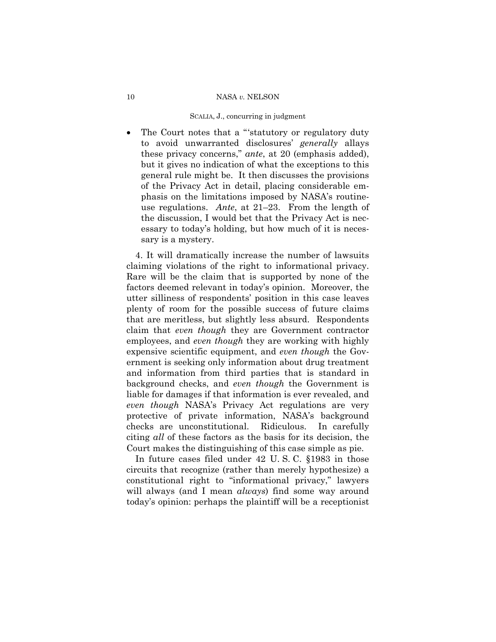• The Court notes that a "'statutory or regulatory duty to avoid unwarranted disclosures' *generally* allays these privacy concerns," *ante*, at 20 (emphasis added), but it gives no indication of what the exceptions to this general rule might be. It then discusses the provisions of the Privacy Act in detail, placing considerable emphasis on the limitations imposed by NASA's routineuse regulations. *Ante*, at 21–23. From the length of the discussion, I would bet that the Privacy Act is necessary to today's holding, but how much of it is necessary is a mystery.

 4. It will dramatically increase the number of lawsuits claiming violations of the right to informational privacy. Rare will be the claim that is supported by none of the factors deemed relevant in today's opinion. Moreover, the utter silliness of respondents' position in this case leaves plenty of room for the possible success of future claims that are meritless, but slightly less absurd. Respondents claim that *even though* they are Government contractor employees, and *even though* they are working with highly expensive scientific equipment, and *even though* the Government is seeking only information about drug treatment and information from third parties that is standard in background checks, and *even though* the Government is liable for damages if that information is ever revealed, and *even though* NASA's Privacy Act regulations are very protective of private information, NASA's background checks are unconstitutional. Ridiculous. In carefully citing *all* of these factors as the basis for its decision, the Court makes the distinguishing of this case simple as pie.

 In future cases filed under 42 U. S. C. §1983 in those circuits that recognize (rather than merely hypothesize) a constitutional right to "informational privacy," lawyers will always (and I mean *always*) find some way around today's opinion: perhaps the plaintiff will be a receptionist